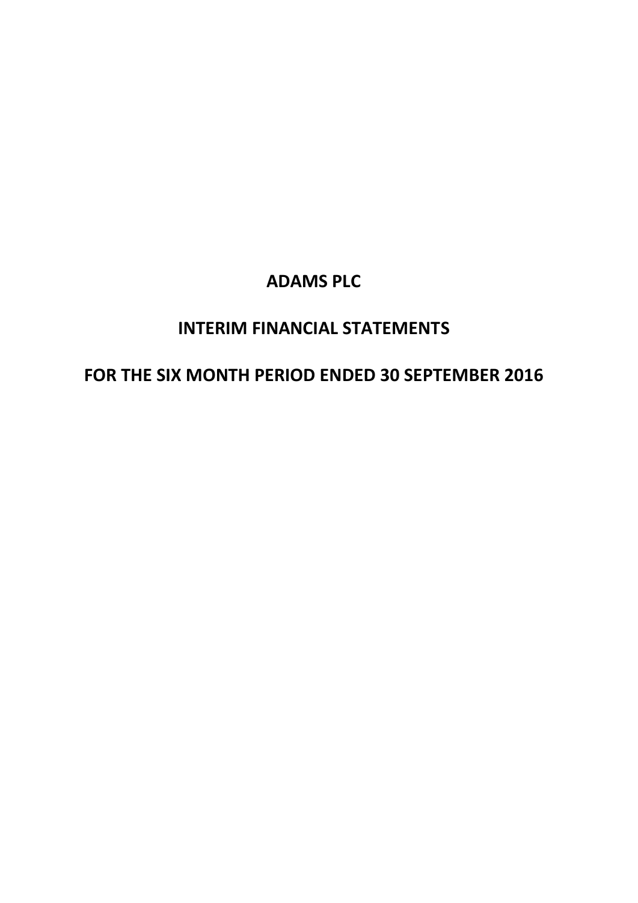# **INTERIM FINANCIAL STATEMENTS**

# **FOR THE SIX MONTH PERIOD ENDED 30 SEPTEMBER 2016**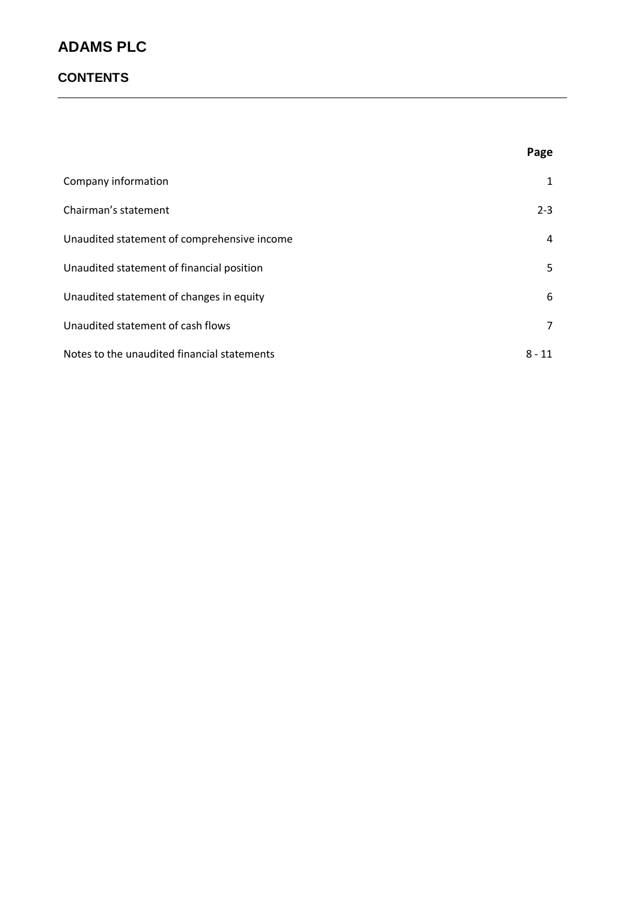### **CONTENTS**

|                                             | Page         |
|---------------------------------------------|--------------|
| Company information                         | $\mathbf{1}$ |
| Chairman's statement                        | $2 - 3$      |
| Unaudited statement of comprehensive income | 4            |
| Unaudited statement of financial position   | 5            |
| Unaudited statement of changes in equity    | 6            |
| Unaudited statement of cash flows           | 7            |
| Notes to the unaudited financial statements | $8 - 11$     |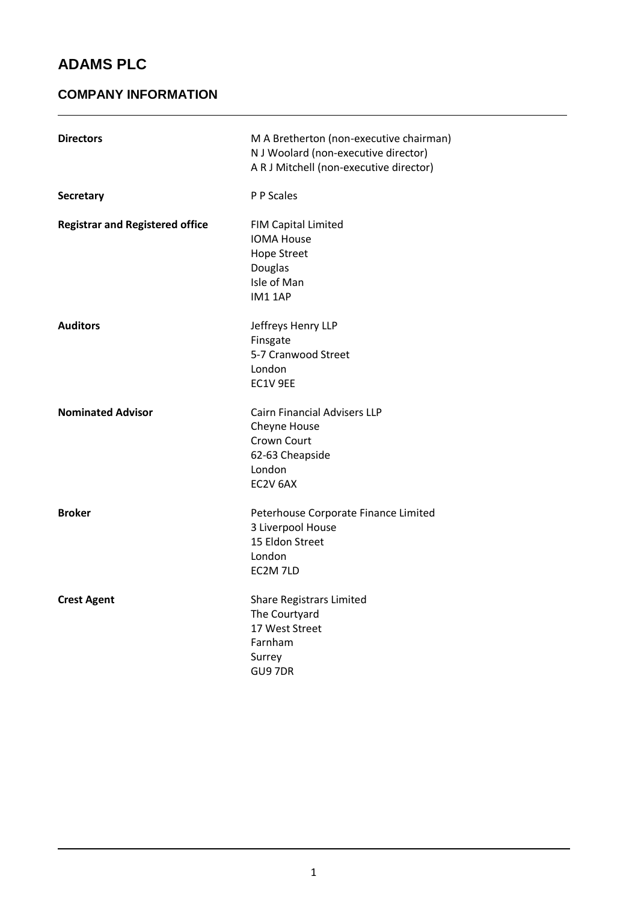### **COMPANY INFORMATION**

| <b>Directors</b>                       | M A Bretherton (non-executive chairman)<br>N J Woolard (non-executive director)<br>A R J Mitchell (non-executive director) |
|----------------------------------------|----------------------------------------------------------------------------------------------------------------------------|
| <b>Secretary</b>                       | P P Scales                                                                                                                 |
| <b>Registrar and Registered office</b> | <b>FIM Capital Limited</b><br><b>IOMA House</b><br><b>Hope Street</b><br>Douglas<br>Isle of Man<br>IM1 1AP                 |
| <b>Auditors</b>                        | Jeffreys Henry LLP<br>Finsgate<br>5-7 Cranwood Street<br>London<br>EC1V 9EE                                                |
| <b>Nominated Advisor</b>               | <b>Cairn Financial Advisers LLP</b><br>Cheyne House<br>Crown Court<br>62-63 Cheapside<br>London<br>EC2V 6AX                |
| <b>Broker</b>                          | Peterhouse Corporate Finance Limited<br>3 Liverpool House<br>15 Eldon Street<br>London<br>EC2M 7LD                         |
| <b>Crest Agent</b>                     | <b>Share Registrars Limited</b><br>The Courtyard<br>17 West Street<br>Farnham<br>Surrey<br>GU97DR                          |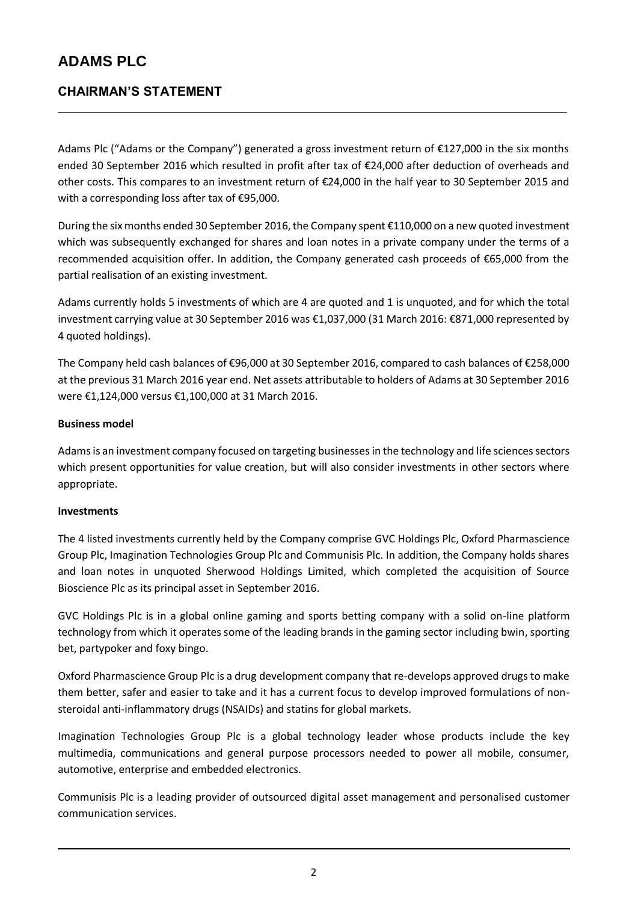### **CHAIRMAN'S STATEMENT**

Adams Plc ("Adams or the Company") generated a gross investment return of €127,000 in the six months ended 30 September 2016 which resulted in profit after tax of €24,000 after deduction of overheads and other costs. This compares to an investment return of €24,000 in the half year to 30 September 2015 and with a corresponding loss after tax of €95,000.

During the six months ended 30 September 2016, the Company spent €110,000 on a new quoted investment which was subsequently exchanged for shares and loan notes in a private company under the terms of a recommended acquisition offer. In addition, the Company generated cash proceeds of €65,000 from the partial realisation of an existing investment.

Adams currently holds 5 investments of which are 4 are quoted and 1 is unquoted, and for which the total investment carrying value at 30 September 2016 was €1,037,000 (31 March 2016: €871,000 represented by 4 quoted holdings).

The Company held cash balances of €96,000 at 30 September 2016, compared to cash balances of €258,000 at the previous 31 March 2016 year end. Net assets attributable to holders of Adams at 30 September 2016 were €1,124,000 versus €1,100,000 at 31 March 2016.

### **Business model**

Adams is an investment company focused on targeting businesses in the technology and life sciences sectors which present opportunities for value creation, but will also consider investments in other sectors where appropriate.

#### **Investments**

The 4 listed investments currently held by the Company comprise GVC Holdings Plc, Oxford Pharmascience Group Plc, Imagination Technologies Group Plc and Communisis Plc. In addition, the Company holds shares and loan notes in unquoted Sherwood Holdings Limited, which completed the acquisition of Source Bioscience Plc as its principal asset in September 2016.

GVC Holdings Plc is in a global online gaming and sports betting company with a solid on-line platform technology from which it operates some of the leading brands in the gaming sector including bwin, sporting bet, partypoker and foxy bingo.

Oxford Pharmascience Group Plc is a drug development company that re-develops approved drugs to make them better, safer and easier to take and it has a current focus to develop improved formulations of nonsteroidal anti-inflammatory drugs (NSAIDs) and statins for global markets.

Imagination Technologies Group Plc is a global technology leader whose products include the key multimedia, communications and general purpose processors needed to power all mobile, consumer, automotive, enterprise and embedded electronics.

Communisis Plc is a leading provider of outsourced digital asset management and personalised customer communication services.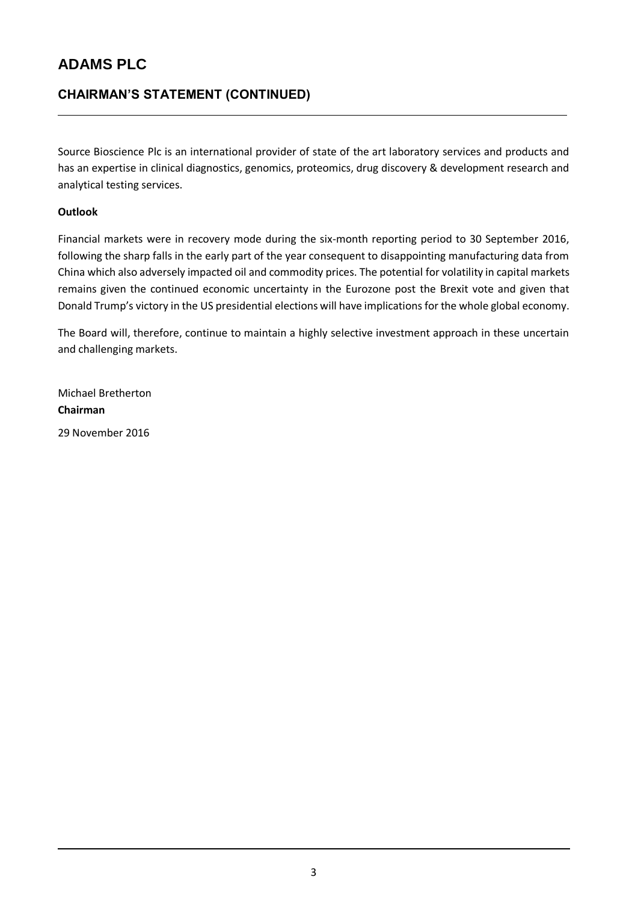### **CHAIRMAN'S STATEMENT (CONTINUED)**

Source Bioscience Plc is an international provider of state of the art laboratory services and products and has an expertise in clinical diagnostics, genomics, proteomics, drug discovery & development research and analytical testing services.

### **Outlook**

Financial markets were in recovery mode during the six-month reporting period to 30 September 2016, following the sharp falls in the early part of the year consequent to disappointing manufacturing data from China which also adversely impacted oil and commodity prices. The potential for volatility in capital markets remains given the continued economic uncertainty in the Eurozone post the Brexit vote and given that Donald Trump's victory in the US presidential elections will have implications for the whole global economy.

The Board will, therefore, continue to maintain a highly selective investment approach in these uncertain and challenging markets.

Michael Bretherton **Chairman** 29 November 2016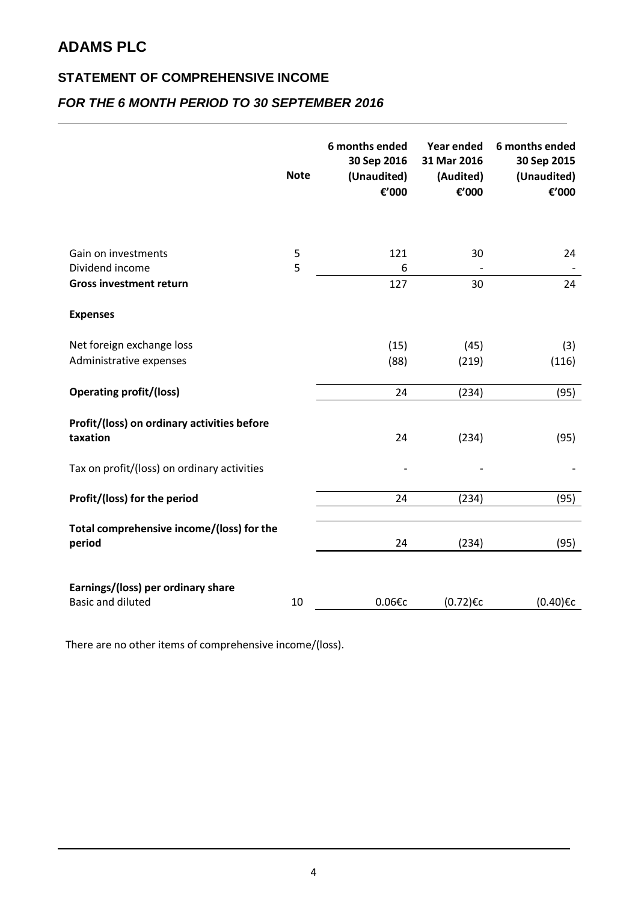### **STATEMENT OF COMPREHENSIVE INCOME**

## *FOR THE 6 MONTH PERIOD TO 30 SEPTEMBER 2016*

|                                                                | <b>Note</b> | 6 months ended<br>30 Sep 2016<br>(Unaudited)<br>€'000 | Year ended<br>31 Mar 2016<br>(Audited)<br>€'000 | 6 months ended<br>30 Sep 2015<br>(Unaudited)<br>€'000 |
|----------------------------------------------------------------|-------------|-------------------------------------------------------|-------------------------------------------------|-------------------------------------------------------|
| Gain on investments<br>Dividend income                         | 5<br>5      | 121<br>6                                              | 30                                              | 24                                                    |
| <b>Gross investment return</b>                                 |             | 127                                                   | 30                                              | 24                                                    |
| <b>Expenses</b>                                                |             |                                                       |                                                 |                                                       |
| Net foreign exchange loss                                      |             | (15)                                                  | (45)                                            | (3)                                                   |
| Administrative expenses                                        |             | (88)                                                  | (219)                                           | (116)                                                 |
| <b>Operating profit/(loss)</b>                                 |             | 24                                                    | (234)                                           | (95)                                                  |
| Profit/(loss) on ordinary activities before<br>taxation        |             | 24                                                    | (234)                                           | (95)                                                  |
| Tax on profit/(loss) on ordinary activities                    |             |                                                       |                                                 |                                                       |
| Profit/(loss) for the period                                   |             | 24                                                    | (234)                                           | (95)                                                  |
| Total comprehensive income/(loss) for the<br>period            |             | 24                                                    | (234)                                           | (95)                                                  |
| Earnings/(loss) per ordinary share<br><b>Basic and diluted</b> | 10          | 0.06€c                                                | (0.72)€c                                        | (0.40)€c                                              |

There are no other items of comprehensive income/(loss).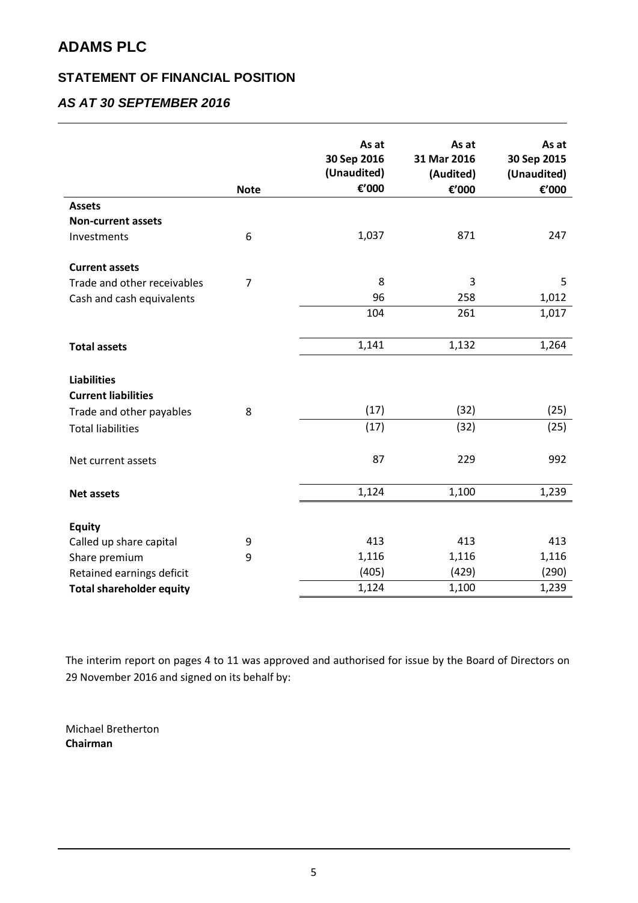### **STATEMENT OF FINANCIAL POSITION**

## *AS AT 30 SEPTEMBER 2016*

|                                 | <b>Note</b>    | As at<br>30 Sep 2016<br>(Unaudited)<br>€'000 | As at<br>31 Mar 2016<br>(Audited)<br>€'000 | As at<br>30 Sep 2015<br>(Unaudited)<br>€'000 |
|---------------------------------|----------------|----------------------------------------------|--------------------------------------------|----------------------------------------------|
| <b>Assets</b>                   |                |                                              |                                            |                                              |
| <b>Non-current assets</b>       |                |                                              |                                            |                                              |
| Investments                     | 6              | 1,037                                        | 871                                        | 247                                          |
| <b>Current assets</b>           |                |                                              |                                            |                                              |
| Trade and other receivables     | $\overline{7}$ | 8                                            | 3                                          | 5                                            |
| Cash and cash equivalents       |                | 96                                           | 258                                        | 1,012                                        |
|                                 |                | 104                                          | 261                                        | 1,017                                        |
| <b>Total assets</b>             |                | 1,141                                        | 1,132                                      | 1,264                                        |
| <b>Liabilities</b>              |                |                                              |                                            |                                              |
| <b>Current liabilities</b>      |                |                                              |                                            |                                              |
| Trade and other payables        | 8              | (17)                                         | (32)                                       | (25)                                         |
| <b>Total liabilities</b>        |                | (17)                                         | (32)                                       | (25)                                         |
| Net current assets              |                | 87                                           | 229                                        | 992                                          |
| <b>Net assets</b>               |                | 1,124                                        | 1,100                                      | 1,239                                        |
| <b>Equity</b>                   |                |                                              |                                            |                                              |
| Called up share capital         | 9              | 413                                          | 413                                        | 413                                          |
| Share premium                   | 9              | 1,116                                        | 1,116                                      | 1,116                                        |
| Retained earnings deficit       |                | (405)                                        | (429)                                      | (290)                                        |
| <b>Total shareholder equity</b> |                | 1,124                                        | 1,100                                      | 1,239                                        |

The interim report on pages 4 to 11 was approved and authorised for issue by the Board of Directors on 29 November 2016 and signed on its behalf by:

Michael Bretherton **Chairman**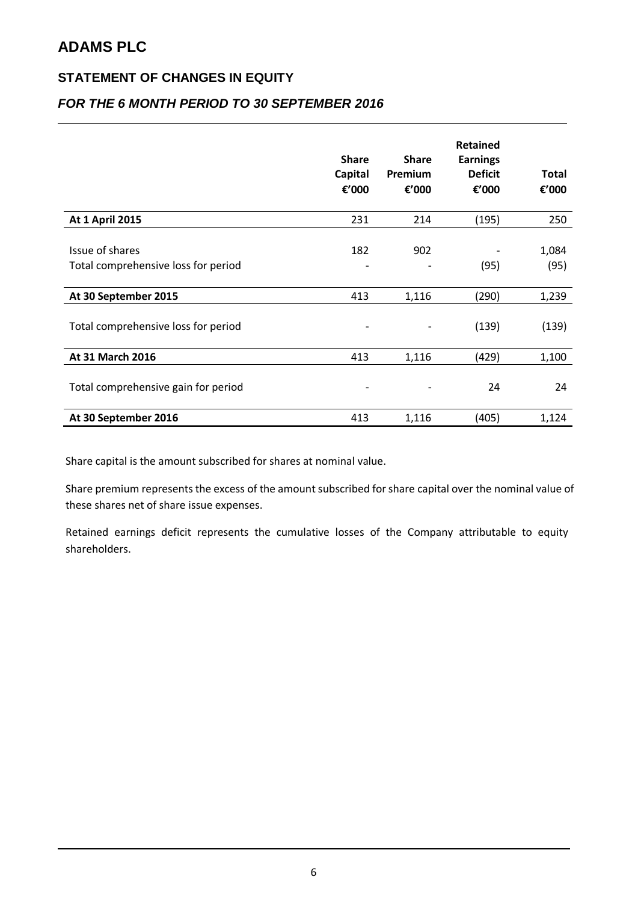### **STATEMENT OF CHANGES IN EQUITY**

### *FOR THE 6 MONTH PERIOD TO 30 SEPTEMBER 2016*

|                                                        | <b>Share</b><br>Capital<br>€'000    | <b>Share</b><br>Premium<br>€'000 | <b>Retained</b><br><b>Earnings</b><br><b>Deficit</b><br>€'000 | <b>Total</b><br>€'000 |
|--------------------------------------------------------|-------------------------------------|----------------------------------|---------------------------------------------------------------|-----------------------|
| <b>At 1 April 2015</b>                                 | 231                                 | 214                              | (195)                                                         | 250                   |
| Issue of shares<br>Total comprehensive loss for period | 182<br>$\qquad \qquad \blacksquare$ | 902                              | (95)                                                          | 1,084<br>(95)         |
| At 30 September 2015                                   | 413                                 | 1,116                            | (290)                                                         | 1,239                 |
| Total comprehensive loss for period                    | $\overline{a}$                      |                                  | (139)                                                         | (139)                 |
| At 31 March 2016                                       | 413                                 | 1,116                            | (429)                                                         | 1,100                 |
| Total comprehensive gain for period                    |                                     |                                  | 24                                                            | 24                    |
| At 30 September 2016                                   | 413                                 | 1,116                            | (405)                                                         | 1,124                 |

Share capital is the amount subscribed for shares at nominal value.

Share premium represents the excess of the amount subscribed for share capital over the nominal value of these shares net of share issue expenses.

Retained earnings deficit represents the cumulative losses of the Company attributable to equity shareholders.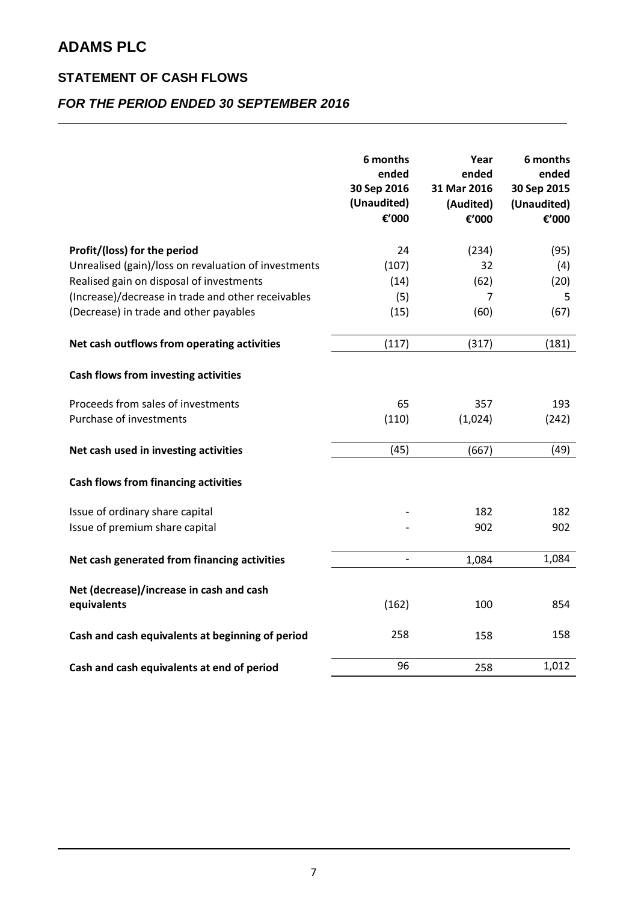### **STATEMENT OF CASH FLOWS**

## *FOR THE PERIOD ENDED 30 SEPTEMBER 2016*

|                                                      | 6 months<br>ended<br>30 Sep 2016<br>(Unaudited)<br>€'000 | Year<br>ended<br>31 Mar 2016<br>(Audited)<br>€'000 | 6 months<br>ended<br>30 Sep 2015<br>(Unaudited)<br>€'000 |
|------------------------------------------------------|----------------------------------------------------------|----------------------------------------------------|----------------------------------------------------------|
| Profit/(loss) for the period                         | 24                                                       | (234)                                              | (95)                                                     |
| Unrealised (gain)/loss on revaluation of investments | (107)                                                    | 32                                                 | (4)                                                      |
| Realised gain on disposal of investments             | (14)                                                     | (62)                                               | (20)                                                     |
| (Increase)/decrease in trade and other receivables   | (5)                                                      | 7                                                  | 5                                                        |
| (Decrease) in trade and other payables               | (15)                                                     | (60)                                               | (67)                                                     |
| Net cash outflows from operating activities          | (117)                                                    | (317)                                              | (181)                                                    |
| Cash flows from investing activities                 |                                                          |                                                    |                                                          |
| Proceeds from sales of investments                   | 65                                                       | 357                                                | 193                                                      |
| Purchase of investments                              | (110)                                                    | (1,024)                                            | (242)                                                    |
| Net cash used in investing activities                | (45)                                                     | (667)                                              | (49)                                                     |
| <b>Cash flows from financing activities</b>          |                                                          |                                                    |                                                          |
| Issue of ordinary share capital                      |                                                          | 182                                                | 182                                                      |
| Issue of premium share capital                       |                                                          | 902                                                | 902                                                      |
| Net cash generated from financing activities         | $\overline{a}$                                           | 1,084                                              | 1,084                                                    |
| Net (decrease)/increase in cash and cash             |                                                          |                                                    |                                                          |
| equivalents                                          | (162)                                                    | 100                                                | 854                                                      |
| Cash and cash equivalents at beginning of period     | 258                                                      | 158                                                | 158                                                      |
| Cash and cash equivalents at end of period           | 96                                                       | 258                                                | 1,012                                                    |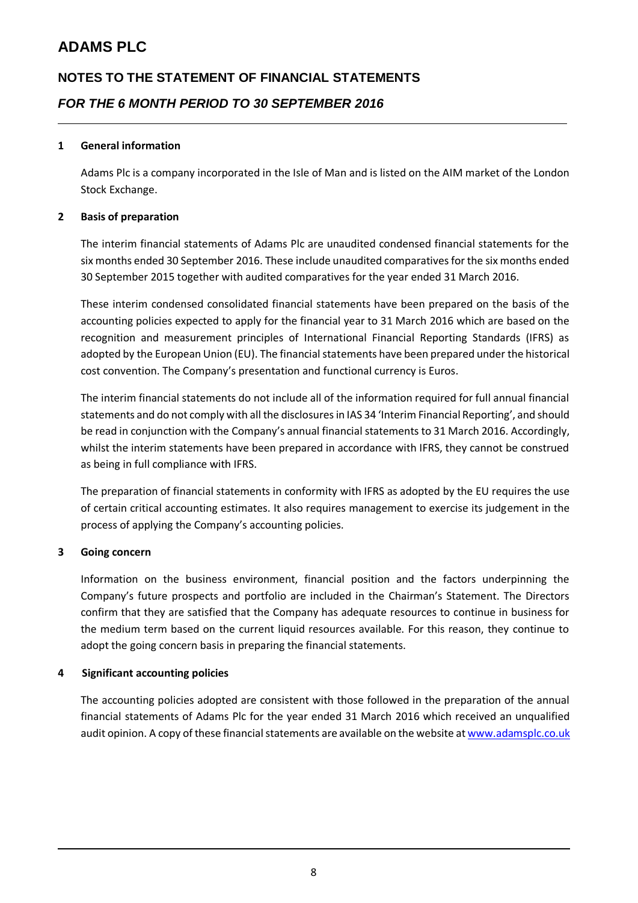# **NOTES TO THE STATEMENT OF FINANCIAL STATEMENTS** *FOR THE 6 MONTH PERIOD TO 30 SEPTEMBER 2016*

#### **1 General information**

Adams Plc is a company incorporated in the Isle of Man and is listed on the AIM market of the London Stock Exchange.

#### **2 Basis of preparation**

The interim financial statements of Adams Plc are unaudited condensed financial statements for the six months ended 30 September 2016. These include unaudited comparatives for the six months ended 30 September 2015 together with audited comparatives for the year ended 31 March 2016.

These interim condensed consolidated financial statements have been prepared on the basis of the accounting policies expected to apply for the financial year to 31 March 2016 which are based on the recognition and measurement principles of International Financial Reporting Standards (IFRS) as adopted by the European Union (EU). The financial statements have been prepared under the historical cost convention. The Company's presentation and functional currency is Euros.

The interim financial statements do not include all of the information required for full annual financial statements and do not comply with all the disclosures in IAS 34 'Interim Financial Reporting', and should be read in conjunction with the Company's annual financial statements to 31 March 2016. Accordingly, whilst the interim statements have been prepared in accordance with IFRS, they cannot be construed as being in full compliance with IFRS.

The preparation of financial statements in conformity with IFRS as adopted by the EU requires the use of certain critical accounting estimates. It also requires management to exercise its judgement in the process of applying the Company's accounting policies.

#### **3 Going concern**

Information on the business environment, financial position and the factors underpinning the Company's future prospects and portfolio are included in the Chairman's Statement. The Directors confirm that they are satisfied that the Company has adequate resources to continue in business for the medium term based on the current liquid resources available. For this reason, they continue to adopt the going concern basis in preparing the financial statements.

#### **4 Significant accounting policies**

The accounting policies adopted are consistent with those followed in the preparation of the annual financial statements of Adams Plc for the year ended 31 March 2016 which received an unqualified audit opinion. A copy of these financial statements are available on the website a[t www.adamsplc.co.uk](http://www.adamsplc.co.uk/)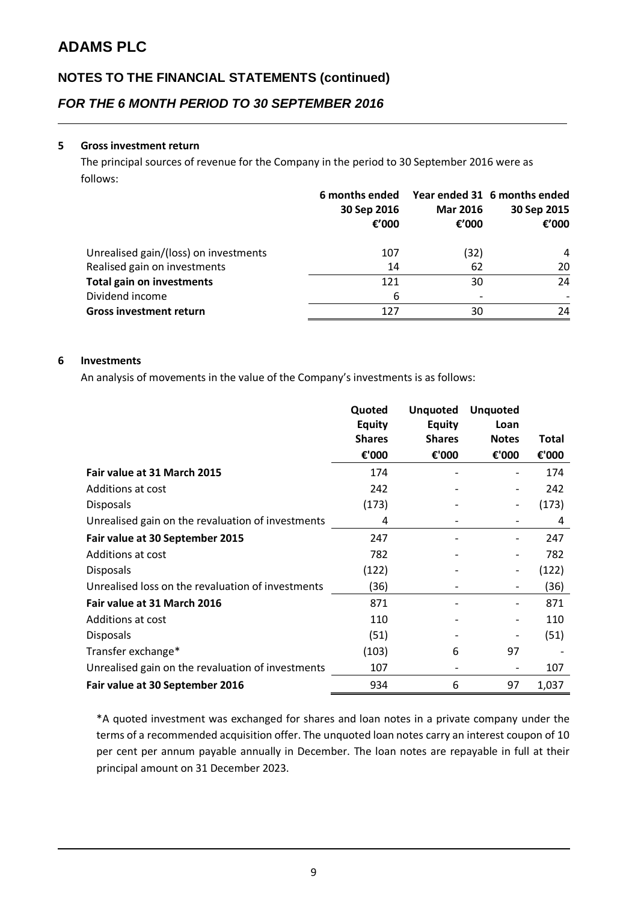## **NOTES TO THE FINANCIAL STATEMENTS (continued)**

*FOR THE 6 MONTH PERIOD TO 30 SEPTEMBER 2016*

#### **5 Gross investment return**

The principal sources of revenue for the Company in the period to 30 September 2016 were as follows:

|                                       | 6 months ended<br>30 Sep 2016<br>€ $'000$ | <b>Mar 2016</b><br>€'000 | Year ended 31 6 months ended<br>30 Sep 2015<br>€'000 |
|---------------------------------------|-------------------------------------------|--------------------------|------------------------------------------------------|
| Unrealised gain/(loss) on investments | 107                                       | (32)                     | 4                                                    |
| Realised gain on investments          | 14                                        | 62                       | 20                                                   |
| <b>Total gain on investments</b>      | 121                                       | 30                       | 24                                                   |
| Dividend income                       | 6                                         |                          |                                                      |
| <b>Gross investment return</b>        | 127                                       | 30                       | 24                                                   |

### **6 Investments**

An analysis of movements in the value of the Company's investments is as follows:

|                                                   | Quoted        | <b>Unquoted</b> | <b>Unquoted</b> |       |
|---------------------------------------------------|---------------|-----------------|-----------------|-------|
|                                                   | <b>Equity</b> | <b>Equity</b>   | Loan            |       |
|                                                   | <b>Shares</b> | <b>Shares</b>   | <b>Notes</b>    | Total |
|                                                   | €'000         | €'000           | €'000           | €'000 |
| Fair value at 31 March 2015                       | 174           |                 |                 | 174   |
| Additions at cost                                 | 242           |                 |                 | 242   |
| <b>Disposals</b>                                  | (173)         |                 |                 | (173) |
| Unrealised gain on the revaluation of investments | 4             |                 |                 | 4     |
| Fair value at 30 September 2015                   | 247           |                 |                 | 247   |
| Additions at cost                                 | 782           |                 |                 | 782   |
| <b>Disposals</b>                                  | (122)         |                 |                 | (122) |
| Unrealised loss on the revaluation of investments | (36)          |                 |                 | (36)  |
| Fair value at 31 March 2016                       | 871           |                 |                 | 871   |
| Additions at cost                                 | 110           |                 |                 | 110   |
| <b>Disposals</b>                                  | (51)          |                 |                 | (51)  |
| Transfer exchange*                                | (103)         | 6               | 97              |       |
| Unrealised gain on the revaluation of investments | 107           |                 |                 | 107   |
| Fair value at 30 September 2016                   | 934           | 6               | 97              | 1,037 |

\*A quoted investment was exchanged for shares and loan notes in a private company under the terms of a recommended acquisition offer. The unquoted loan notes carry an interest coupon of 10 per cent per annum payable annually in December. The loan notes are repayable in full at their principal amount on 31 December 2023.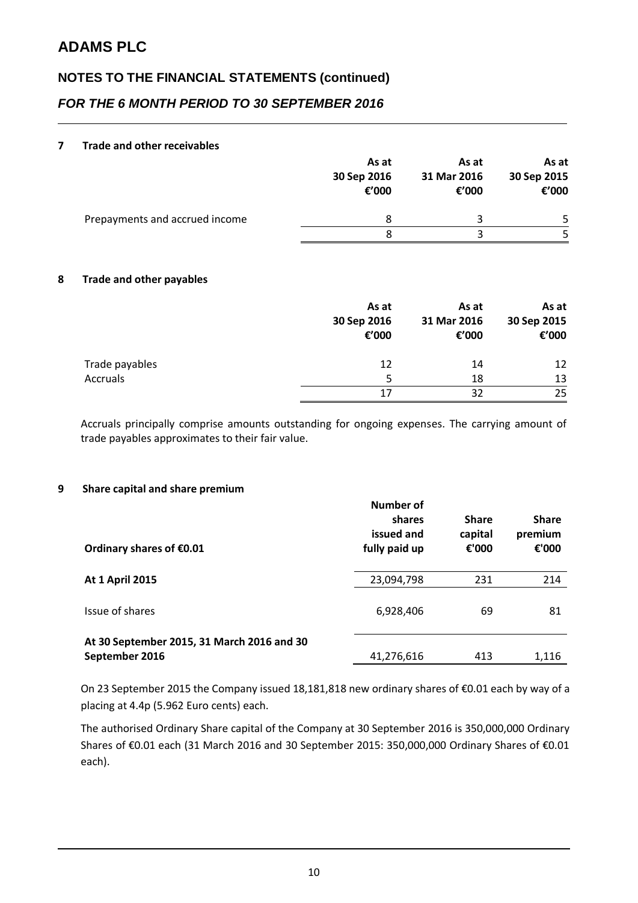## **NOTES TO THE FINANCIAL STATEMENTS (continued)**

### *FOR THE 6 MONTH PERIOD TO 30 SEPTEMBER 2016*

#### **7 Trade and other receivables**

|                                | As at<br>30 Sep 2016<br>€'000 | As at<br>31 Mar 2016<br>€'000 | As at<br>30 Sep 2015<br>€'000 |
|--------------------------------|-------------------------------|-------------------------------|-------------------------------|
| Prepayments and accrued income | 8                             |                               | 5.                            |
|                                |                               |                               |                               |

### **8 Trade and other payables**

|                 | As at<br>30 Sep 2016<br>€'000 | As at<br>31 Mar 2016<br>€'000 | As at<br>30 Sep 2015<br>€'000 |
|-----------------|-------------------------------|-------------------------------|-------------------------------|
| Trade payables  | 12                            | 14                            | 12                            |
| <b>Accruals</b> | 5                             | 18                            | 13                            |
|                 | 17                            | 32                            | 25                            |

Accruals principally comprise amounts outstanding for ongoing expenses. The carrying amount of trade payables approximates to their fair value.

#### **9 Share capital and share premium**

| Ordinary shares of €0.01                                     | <b>Number of</b><br>shares<br>issued and<br>fully paid up | <b>Share</b><br>capital<br>€'000 | <b>Share</b><br>premium<br>€'000 |
|--------------------------------------------------------------|-----------------------------------------------------------|----------------------------------|----------------------------------|
| <b>At 1 April 2015</b>                                       | 23,094,798                                                | 231                              | 214                              |
| Issue of shares                                              | 6,928,406                                                 | 69                               | 81                               |
| At 30 September 2015, 31 March 2016 and 30<br>September 2016 | 41,276,616                                                | 413                              | 1,116                            |

On 23 September 2015 the Company issued 18,181,818 new ordinary shares of €0.01 each by way of a placing at 4.4p (5.962 Euro cents) each.

The authorised Ordinary Share capital of the Company at 30 September 2016 is 350,000,000 Ordinary Shares of €0.01 each (31 March 2016 and 30 September 2015: 350,000,000 Ordinary Shares of €0.01 each).